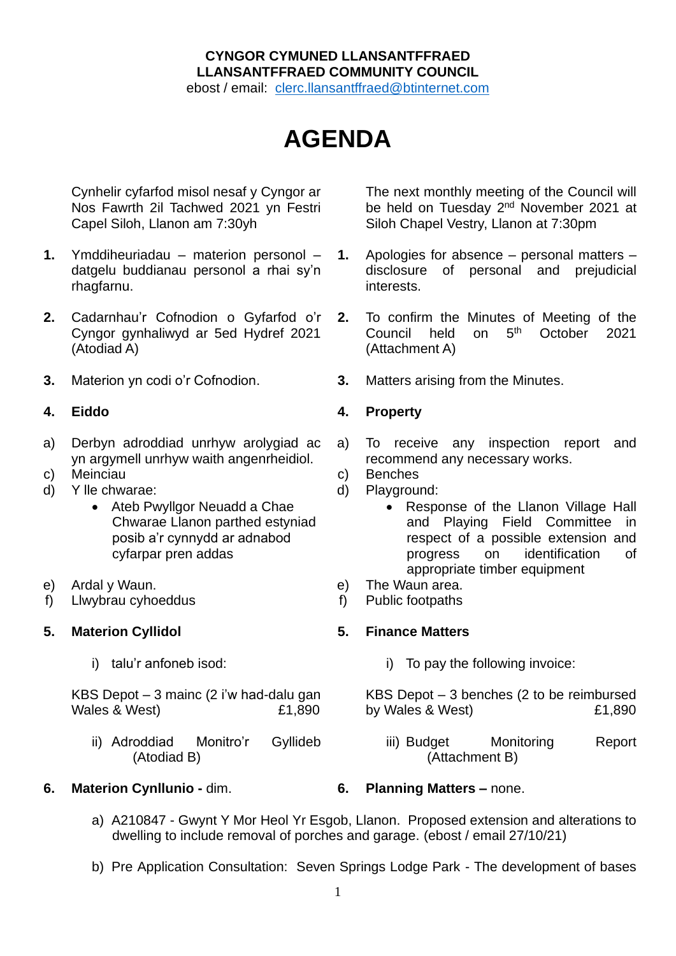# **CYNGOR CYMUNED LLANSANTFFRAED LLANSANTFFRAED COMMUNITY COUNCIL**

ebost / email: [clerc.llansantffraed@btinternet.com](mailto:clerc.llansantffraed@btinternet.com)

# **AGENDA**

Cynhelir cyfarfod misol nesaf y Cyngor ar Nos Fawrth 2il Tachwed 2021 yn Festri Capel Siloh, Llanon am 7:30yh

- **1.** Ymddiheuriadau materion personol datgelu buddianau personol a rhai sy'n rhagfarnu.
- **2.** Cadarnhau'r Cofnodion o Gyfarfod o'r Cyngor gynhaliwyd ar 5ed Hydref 2021 (Atodiad A)
- 

- a) Derbyn adroddiad unrhyw arolygiad ac yn argymell unrhyw waith angenrheidiol.
- 
- d) Y lle chwarae:
	- Ateb Pwyllgor Neuadd a Chae Chwarae Llanon parthed estyniad posib a'r cynnydd ar adnabod cyfarpar pren addas
- e) Ardal y Waun.
- f) Llwybrau cyhoeddus

### **5. Materion Cyllidol**

i) talu'r anfoneb isod:

KBS Depot – 3 mainc (2 i'w had-dalu gan Wales & West) E1,890

ii) Adroddiad Monitro'r Gyllideb (Atodiad B)

**6. Materion Cynllunio -** dim. **6. Planning Matters –** none.

The next monthly meeting of the Council will be held on Tuesday 2<sup>nd</sup> November 2021 at Siloh Chapel Vestry, Llanon at 7:30pm

- **1.** Apologies for absence personal matters disclosure of personal and prejudicial interests.
- **2.** To confirm the Minutes of Meeting of the Council held on 5<sup>th</sup> October 2021 (Attachment A)
- **3.** Materion yn codi o'r Cofnodion. **3.** Matters arising from the Minutes.

# **4. Eiddo 4. Property**

- a) To receive any inspection report and recommend any necessary works.
- c) Meinciau c) Benches
	- d) Playground:
		- Response of the Llanon Village Hall and Playing Field Committee in respect of a possible extension and progress on identification of appropriate timber equipment
	- e) The Waun area.
	- f) Public footpaths

# **5. Finance Matters**

i) To pay the following invoice:

KBS Depot – 3 benches (2 to be reimbursed by Wales & West) 6. E1,890

iii) Budget Monitoring Report (Attachment B)

- a) A210847 Gwynt Y Mor Heol Yr Esgob, Llanon. Proposed extension and alterations to dwelling to include removal of porches and garage. (ebost / email 27/10/21)
- b) Pre Application Consultation: Seven Springs Lodge Park The development of bases